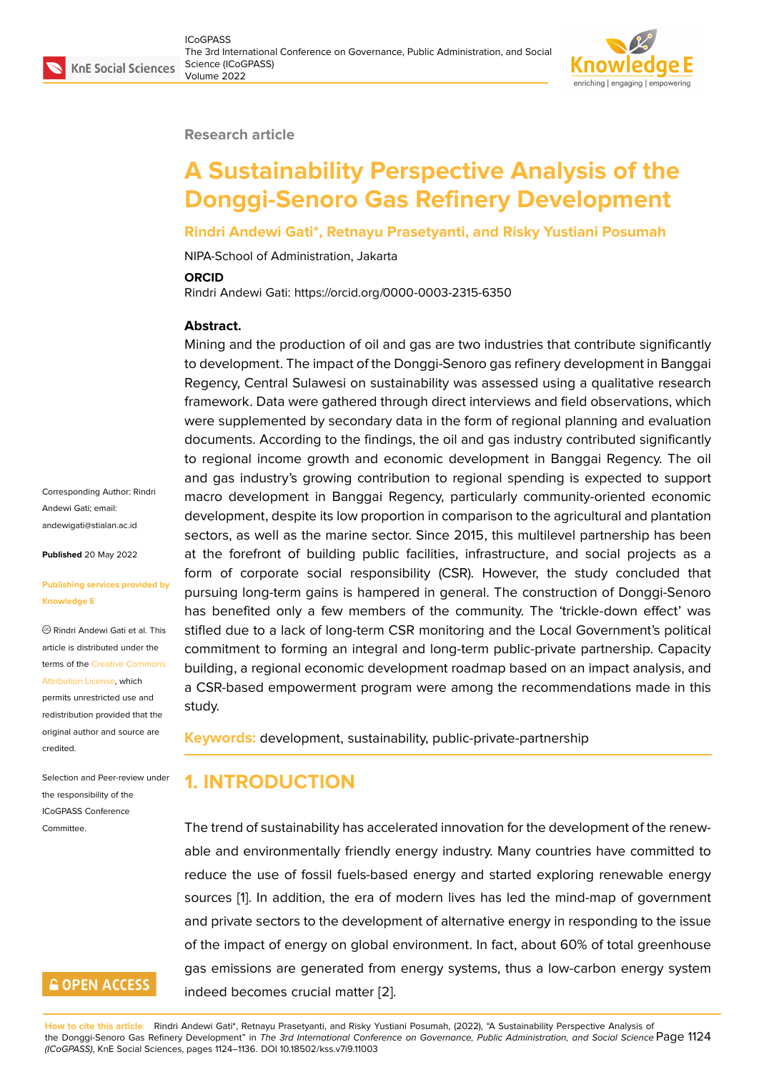#### **Research article**

# **A Sustainability Perspective Analysis of the Donggi-Senoro Gas Refinery Development**

#### **Rindri Andewi Gati\*, Retnayu Prasetyanti, and Risky Yustiani Posumah**

NIPA-School of Administration, Jakarta

#### **ORCID**

Rindri Andewi Gati: https://orcid.org/0000-0003-2315-6350

#### **Abstract.**

Mining and the production of oil and gas are two industries that contribute significantly to development. The impact of the Donggi-Senoro gas refinery development in Banggai Regency, Central Sulawesi on sustainability was assessed using a qualitative research framework. Data were gathered through direct interviews and field observations, which were supplemented by secondary data in the form of regional planning and evaluation documents. According to the findings, the oil and gas industry contributed significantly to regional income growth and economic development in Banggai Regency. The oil and gas industry's growing contribution to regional spending is expected to support macro development in Banggai Regency, particularly community-oriented economic development, despite its low proportion in comparison to the agricultural and plantation sectors, as well as the marine sector. Since 2015, this multilevel partnership has been at the forefront of building public facilities, infrastructure, and social projects as a form of corporate social responsibility (CSR). However, the study concluded that pursuing long-term gains is hampered in general. The construction of Donggi-Senoro has benefited only a few members of the community. The 'trickle-down effect' was stifled due to a lack of long-term CSR monitoring and the Local Government's political commitment to forming an integral and long-term public-private partnership. Capacity building, a regional economic development roadmap based on an impact analysis, and a CSR-based empowerment program were among the recommendations made in this study.

**Keywords:** development, sustainability, public-private-partnership

# **1. INTRODUCTION**

*(ICoGPASS)*, KnE Social Sciences, pages 1124–1136. DOI 10.18502/kss.v7i9.11003

The trend of sustainability has accelerated innovation for the development of the renewable and environmentally friendly energy industry. Many countries have committed to reduce the use of fossil fuels-based energy and started exploring renewable energy sources [1]. In addition, the era of modern lives has led the mind-map of government and private sectors to the development of alternative energy in responding to the issue of the impact of energy on global environment. In fact, about 60% of total greenhouse gas emis[s](#page-11-0)ions are generated from energy systems, thus a low-carbon energy system

indeed becomes crucial matter [2]. **How to cite this article**: Rindri Andewi Gati\*, Retnayu Prasetyanti, and Risky Yustiani Posumah, (2022), "A Sustainability Perspective Analysis of the Donggi-Senoro Gas Refinery Development" in *The 3rd International Conference on Governance, Public Administration, and Social Science* Page 1124

Corresponding Author: Rindri Andewi Gati; email: andewigati@stialan.ac.id

**Published** 20 May 2022

#### **[Publishing services prov](mailto:andewigati@stialan.ac.id)ided by Knowledge E**

Rindri Andewi Gati et al. This article is distributed under the terms of the Creative Commons Attribution License, which

permits unrestricted use and redistribution provided that the original auth[or and source are](https://creativecommons.org/licenses/by/4.0/) [credited.](https://creativecommons.org/licenses/by/4.0/)

Selection and Peer-review under the responsibility of the ICoGPASS Conference Committee.

# **GOPEN ACCESS**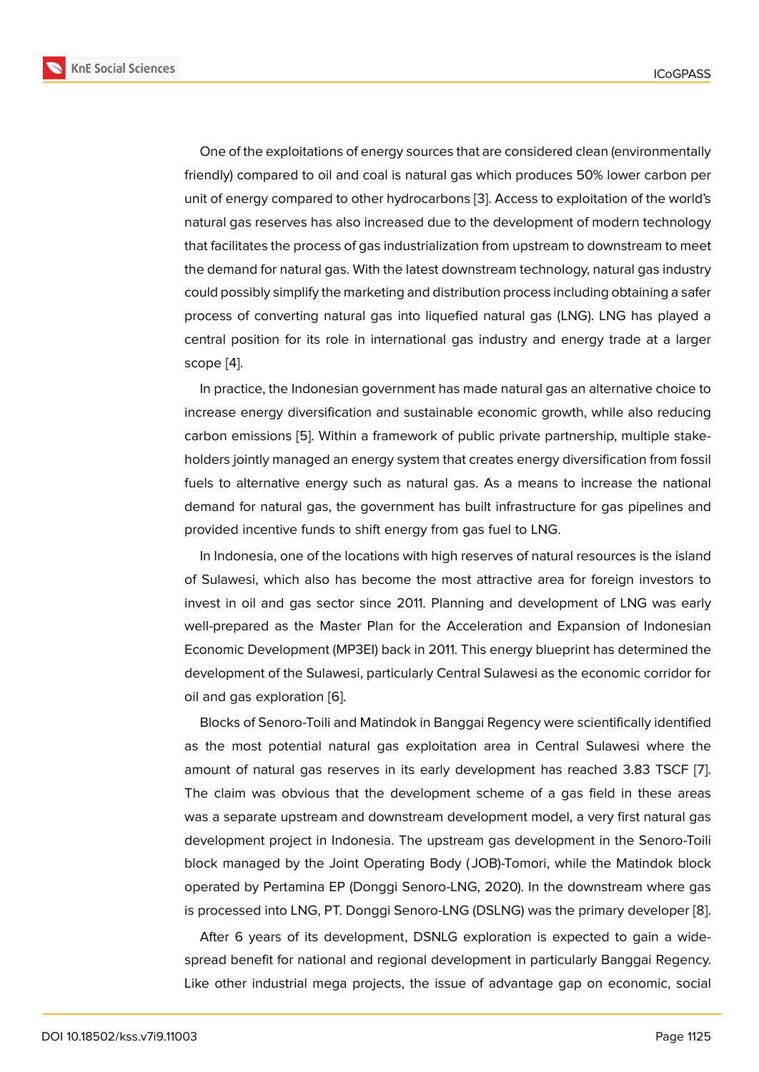One of the exploitations of energy sources that are considered clean (environmentally friendly) compared to oil and coal is natural gas which produces 50% lower carbon per unit of energy compared to other hydrocarbons [3]. Access to exploitation of the world's natural gas reserves has also increased due to the development of modern technology that facilitates the process of gas industrialization from upstream to downstream to meet the demand for natural gas. With the latest down[st](#page-11-1)ream technology, natural gas industry could possibly simplify the marketing and distribution process including obtaining a safer process of converting natural gas into liquefied natural gas (LNG). LNG has played a central position for its role in international gas industry and energy trade at a larger scope [4].

In practice, the Indonesian government has made natural gas an alternative choice to increase energy diversification and sustainable economic growth, while also reducing carbon [e](#page-11-2)missions [5]. Within a framework of public private partnership, multiple stakeholders jointly managed an energy system that creates energy diversification from fossil fuels to alternative energy such as natural gas. As a means to increase the national demand for natura[l g](#page-11-3)as, the government has built infrastructure for gas pipelines and provided incentive funds to shift energy from gas fuel to LNG.

In Indonesia, one of the locations with high reserves of natural resources is the island of Sulawesi, which also has become the most attractive area for foreign investors to invest in oil and gas sector since 2011. Planning and development of LNG was early well-prepared as the Master Plan for the Acceleration and Expansion of Indonesian Economic Development (MP3EI) back in 2011. This energy blueprint has determined the development of the Sulawesi, particularly Central Sulawesi as the economic corridor for oil and gas exploration [6].

Blocks of Senoro-Toili and Matindok in Banggai Regency were scientifically identified as the most potential natural gas exploitation area in Central Sulawesi where the amount of natural gas [res](#page-11-4)erves in its early development has reached 3.83 TSCF [7]. The claim was obvious that the development scheme of a gas field in these areas was a separate upstream and downstream development model, a very first natural gas development project in Indonesia. The upstream gas development in the Senoro-T[oi](#page-12-0)li block managed by the Joint Operating Body ( JOB)-Tomori, while the Matindok block operated by Pertamina EP (Donggi Senoro-LNG, 2020). In the downstream where gas is processed into LNG, PT. Donggi Senoro-LNG (DSLNG) was the primary developer [8].

After 6 years of its development, DSNLG exploration is expected to gain a widespread benefit for national and regional development in particularly Banggai Regency. Like other industrial mega projects, the issue of advantage gap on economic, so[cia](#page-12-1)l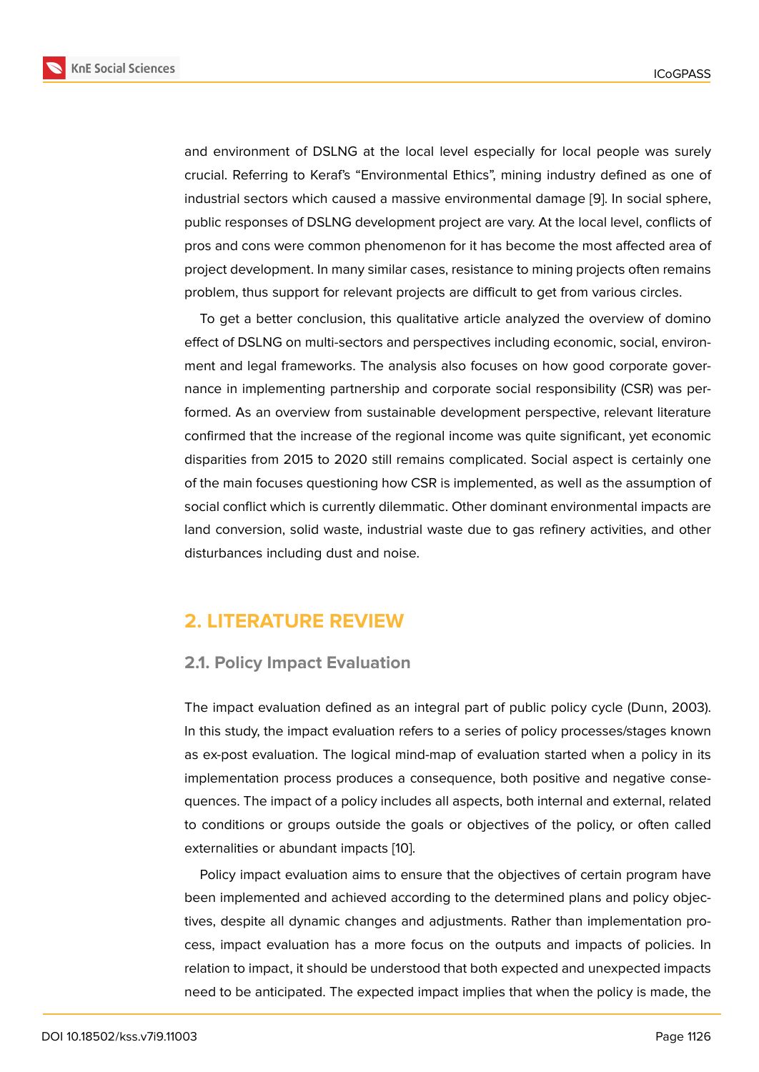and environment of DSLNG at the local level especially for local people was surely crucial. Referring to Keraf's "Environmental Ethics", mining industry defined as one of industrial sectors which caused a massive environmental damage [9]. In social sphere, public responses of DSLNG development project are vary. At the local level, conflicts of pros and cons were common phenomenon for it has become the most affected area of project development. In many similar cases, resistance to mining pr[oje](#page-12-2)cts often remains problem, thus support for relevant projects are difficult to get from various circles.

To get a better conclusion, this qualitative article analyzed the overview of domino effect of DSLNG on multi-sectors and perspectives including economic, social, environment and legal frameworks. The analysis also focuses on how good corporate governance in implementing partnership and corporate social responsibility (CSR) was performed. As an overview from sustainable development perspective, relevant literature confirmed that the increase of the regional income was quite significant, yet economic disparities from 2015 to 2020 still remains complicated. Social aspect is certainly one of the main focuses questioning how CSR is implemented, as well as the assumption of social conflict which is currently dilemmatic. Other dominant environmental impacts are land conversion, solid waste, industrial waste due to gas refinery activities, and other disturbances including dust and noise.

# **2. LITERATURE REVIEW**

### **2.1. Policy Impact Evaluation**

The impact evaluation defined as an integral part of public policy cycle (Dunn, 2003). In this study, the impact evaluation refers to a series of policy processes/stages known as ex-post evaluation. The logical mind-map of evaluation started when a policy in its implementation process produces a consequence, both positive and negative consequences. The impact of a policy includes all aspects, both internal and external, related to conditions or groups outside the goals or objectives of the policy, or often called externalities or abundant impacts [10].

Policy impact evaluation aims to ensure that the objectives of certain program have been implemented and achieved according to the determined plans and policy objectives, despite all dynamic change[s an](#page-12-3)d adjustments. Rather than implementation process, impact evaluation has a more focus on the outputs and impacts of policies. In relation to impact, it should be understood that both expected and unexpected impacts need to be anticipated. The expected impact implies that when the policy is made, the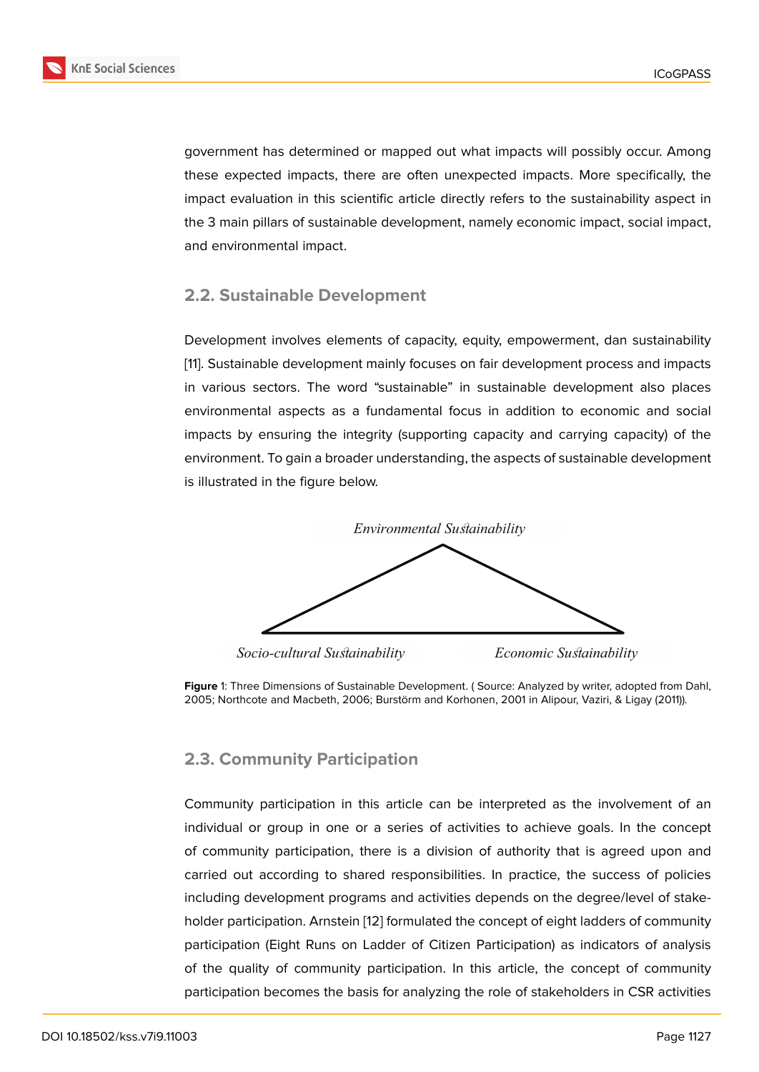government has determined or mapped out what impacts will possibly occur. Among these expected impacts, there are often unexpected impacts. More specifically, the impact evaluation in this scientific article directly refers to the sustainability aspect in the 3 main pillars of sustainable development, namely economic impact, social impact, and environmental impact.

### **2.2. Sustainable Development**

Development involves elements of capacity, equity, empowerment, dan sustainability [11]. Sustainable development mainly focuses on fair development process and impacts in various sectors. The word "sustainable" in sustainable development also places environmental aspects as a fundamental focus in addition to economic and social i[m](#page-12-4)pacts by ensuring the integrity (supporting capacity and carrying capacity) of the environment. To gain a broader understanding, the aspects of sustainable development is illustrated in the figure below.



*Socio-cultural Sustainability Economic Sustainability* 

# **2.3. Community Participation**

Community participation in this article can be interpreted as the involvement of an individual or group in one or a series of activities to achieve goals. In the concept of community participation, there is a division of authority that is agreed upon and carried out according to shared responsibilities. In practice, the success of policies including development programs and activities depends on the degree/level of stakeholder participation. Arnstein [12] formulated the concept of eight ladders of community participation (Eight Runs on Ladder of Citizen Participation) as indicators of analysis of the quality of community participation. In this article, the concept of community participation becomes the ba[sis](#page-12-5) for analyzing the role of stakeholders in CSR activities

**Figure** 1: Three Dimensions of Sustainable Development. ( Source: Analyzed by writer, adopted from Dahl, 2005; Northcote and Macbeth, 2006; Burstörm and Korhonen, 2001 in Alipour, Vaziri, & Ligay (2011)).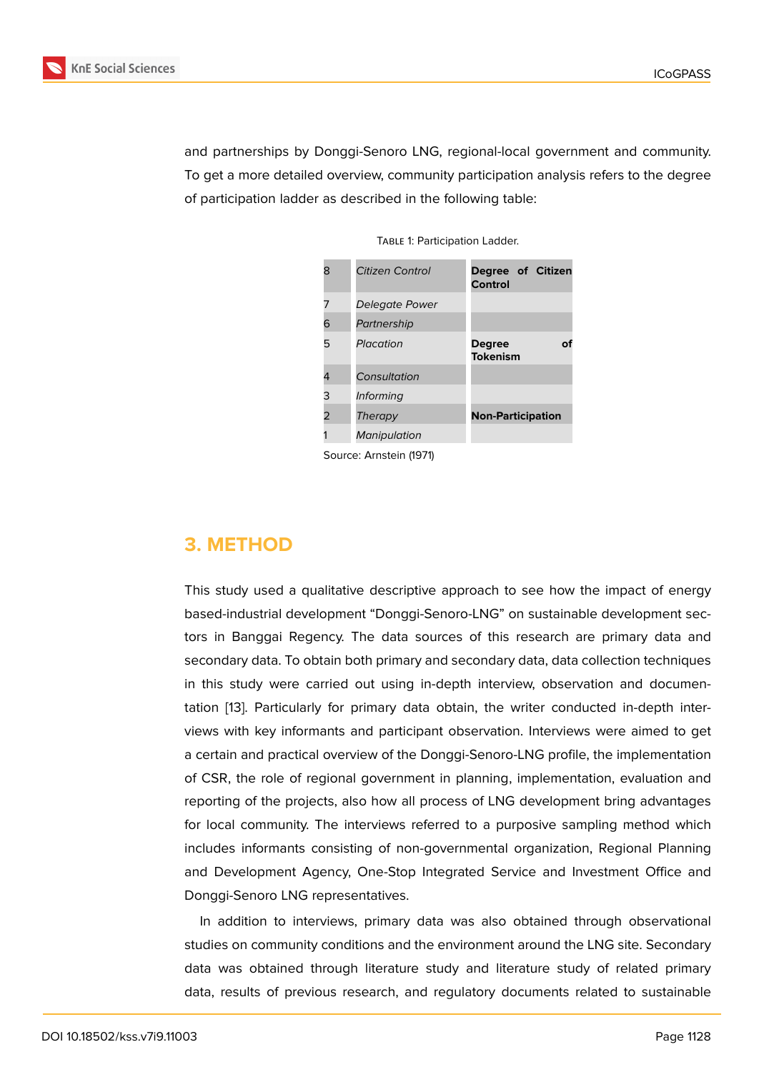and partnerships by Donggi-Senoro LNG, regional-local government and community. To get a more detailed overview, community participation analysis refers to the degree of participation ladder as described in the following table:

| 8 | Citizen Control         | Degree of Citizen<br>Control           |
|---|-------------------------|----------------------------------------|
| 7 | Delegate Power          |                                        |
| 6 | Partnership             |                                        |
| 5 | Placation               | <b>Degree</b><br>nf<br><b>Tokenism</b> |
| 4 | Consultation            |                                        |
| 3 | <i>Informing</i>        |                                        |
| 2 | Therapy                 | <b>Non-Participation</b>               |
|   | Manipulation            |                                        |
|   | Source: Arnstein (1971) |                                        |

TABLE 1: Participation Ladder.

**3. METHOD**

This study used a qualitative descriptive approach to see how the impact of energy based-industrial development "Donggi-Senoro-LNG" on sustainable development sectors in Banggai Regency. The data sources of this research are primary data and secondary data. To obtain both primary and secondary data, data collection techniques in this study were carried out using in-depth interview, observation and documentation [13]. Particularly for primary data obtain, the writer conducted in-depth interviews with key informants and participant observation. Interviews were aimed to get a certain and practical overview of the Donggi-Senoro-LNG profile, the implementation of CSR[, th](#page-12-6)e role of regional government in planning, implementation, evaluation and reporting of the projects, also how all process of LNG development bring advantages for local community. The interviews referred to a purposive sampling method which includes informants consisting of non-governmental organization, Regional Planning and Development Agency, One-Stop Integrated Service and Investment Office and Donggi-Senoro LNG representatives.

In addition to interviews, primary data was also obtained through observational studies on community conditions and the environment around the LNG site. Secondary data was obtained through literature study and literature study of related primary data, results of previous research, and regulatory documents related to sustainable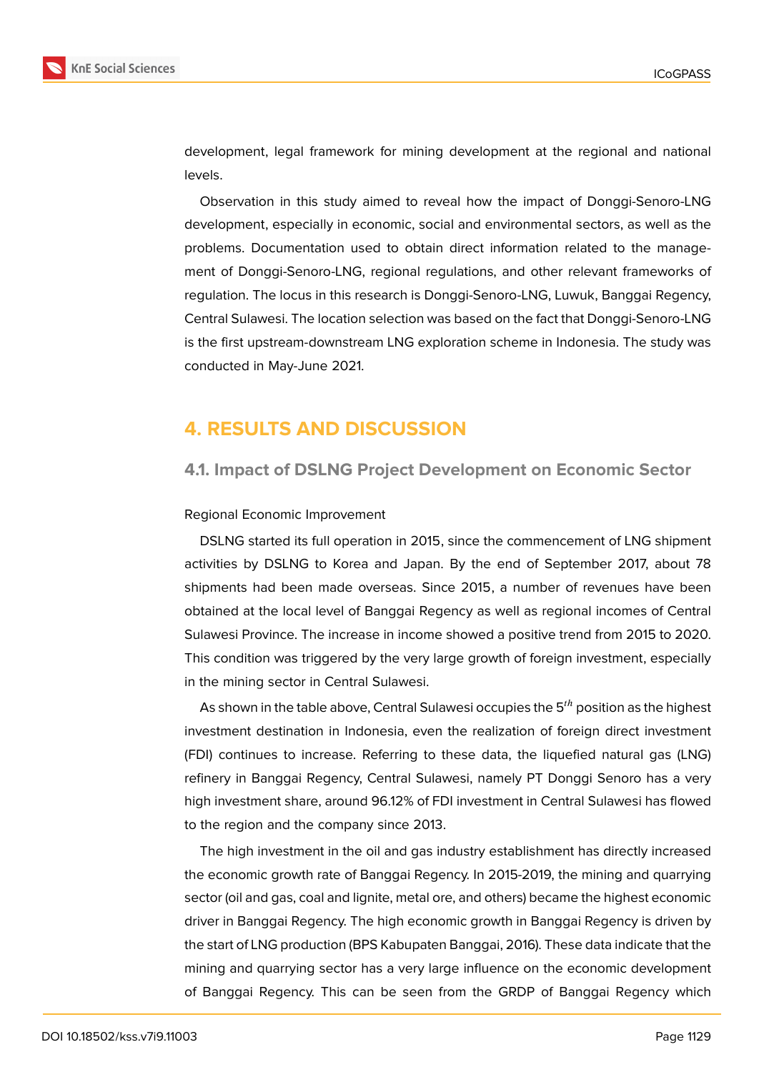

development, legal framework for mining development at the regional and national levels.

Observation in this study aimed to reveal how the impact of Donggi-Senoro-LNG development, especially in economic, social and environmental sectors, as well as the problems. Documentation used to obtain direct information related to the management of Donggi-Senoro-LNG, regional regulations, and other relevant frameworks of regulation. The locus in this research is Donggi-Senoro-LNG, Luwuk, Banggai Regency, Central Sulawesi. The location selection was based on the fact that Donggi-Senoro-LNG is the first upstream-downstream LNG exploration scheme in Indonesia. The study was conducted in May-June 2021.

# **4. RESULTS AND DISCUSSION**

### **4.1. Impact of DSLNG Project Development on Economic Sector**

#### Regional Economic Improvement

DSLNG started its full operation in 2015, since the commencement of LNG shipment activities by DSLNG to Korea and Japan. By the end of September 2017, about 78 shipments had been made overseas. Since 2015, a number of revenues have been obtained at the local level of Banggai Regency as well as regional incomes of Central Sulawesi Province. The increase in income showed a positive trend from 2015 to 2020. This condition was triggered by the very large growth of foreign investment, especially in the mining sector in Central Sulawesi.

As shown in the table above, Central Sulawesi occupies the  $5<sup>th</sup>$  position as the highest investment destination in Indonesia, even the realization of foreign direct investment (FDI) continues to increase. Referring to these data, the liquefied natural gas (LNG) refinery in Banggai Regency, Central Sulawesi, namely PT Donggi Senoro has a very high investment share, around 96.12% of FDI investment in Central Sulawesi has flowed to the region and the company since 2013.

The high investment in the oil and gas industry establishment has directly increased the economic growth rate of Banggai Regency. In 2015-2019, the mining and quarrying sector (oil and gas, coal and lignite, metal ore, and others) became the highest economic driver in Banggai Regency. The high economic growth in Banggai Regency is driven by the start of LNG production (BPS Kabupaten Banggai, 2016). These data indicate that the mining and quarrying sector has a very large influence on the economic development of Banggai Regency. This can be seen from the GRDP of Banggai Regency which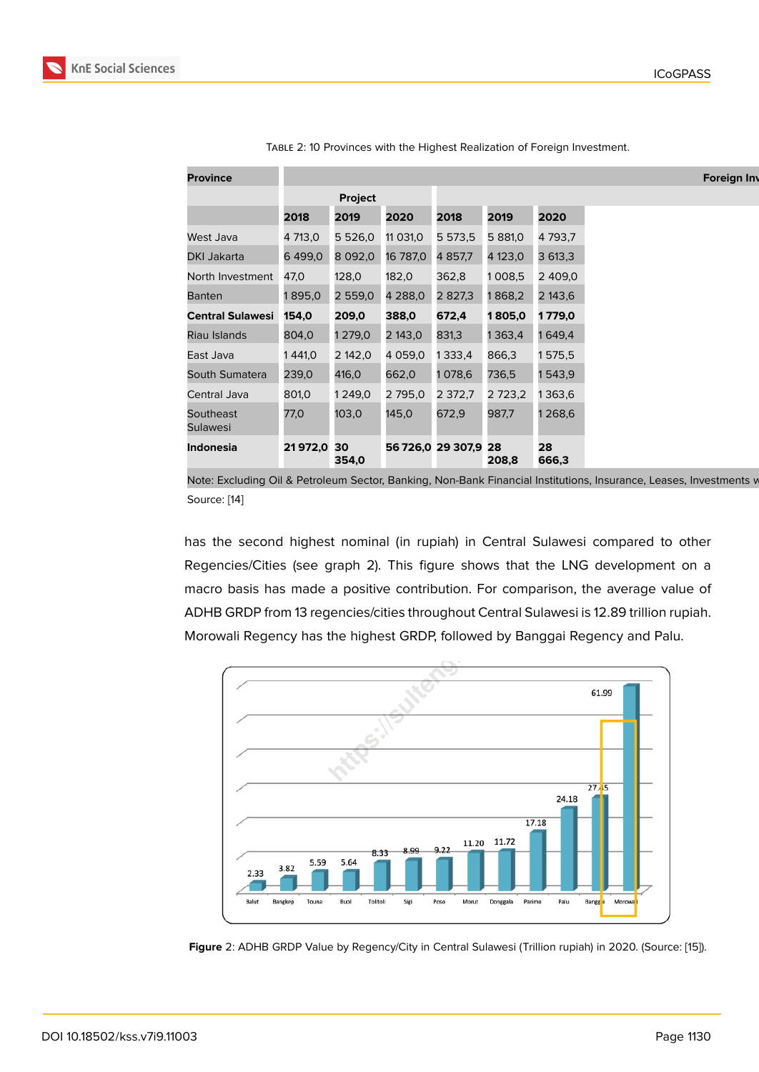| <b>Province</b>         |            |                          |          |                      |             |             |
|-------------------------|------------|--------------------------|----------|----------------------|-------------|-------------|
|                         |            | Project                  |          |                      |             |             |
|                         | 2018       | 2019                     | 2020     | 2018                 | 2019        | 2020        |
| West Java               | 4 713,0    | 5 5 2 6,0                | 11 031,0 | 5 573,5              | 5 881,0     | 4793,7      |
| DKI Jakarta             | 6 499,0    | 8 092,0 16 787,0 4 857,7 |          |                      | 4 123,0     | 3613,3      |
| North Investment        | 47,0       | 128,0                    | 182,0    | 362,8                | 1008,5      | 2 409,0     |
| <b>Banten</b>           | 1895,0     | 2 559,0                  | 4 288,0  | 2 827,3              | 1868,2      | 2 143,6     |
| <b>Central Sulawesi</b> | 154,0      | 209,0                    | 388,0    | 672,4                | 1805,0      | 1779,0      |
| Riau Islands            | 804,0      | 1 279,0                  | 2 143,0  | 831,3                | 1363,4      | 1649,4      |
| East Java               | 1 441,0    | 2 142,0                  | 4 059,0  | 1333,4               | 866,3       | 1575,5      |
| South Sumatera          | 239,0      | 416,0                    | 662,0    | 1078,6               | 736,5       | 1543,9      |
| Central Java            | 801,0      | 1 249,0                  | 2 795,0  | 2 372,7              | 2 7 2 3 , 2 | 1363,6      |
| Southeast<br>Sulawesi   | 77,0       | 103,0                    | 145,0    | 672,9                | 987,7       | 1268,6      |
| <b>Indonesia</b>        | 21972,0 30 | 354,0                    |          | 56 726,0 29 307,9 28 | 208,8       | 28<br>666,3 |

|  | TABLE 2: 10 Provinces with the Highest Realization of Foreign Investment. |  |
|--|---------------------------------------------------------------------------|--|
|  |                                                                           |  |

Source: [14]

has the second highest nominal (in rupiah) in Central Sulawesi compared to other Regen[cie](#page-12-7)s/Cities (see graph 2). This figure shows that the LNG development on a macro basis has made a positive contribution. For comparison, the average value of ADHB GRDP from 13 regencies/cities throughout Central Sulawesi is 12.89 trillion rupiah. Morowali Regency has the highest GRDP, followed by Banggai Regency and Palu.



**Figure** 2: ADHB GRDP Value by Regency/City in Central Sulawesi (Trillion rupiah) in 2020. (Source: [15]).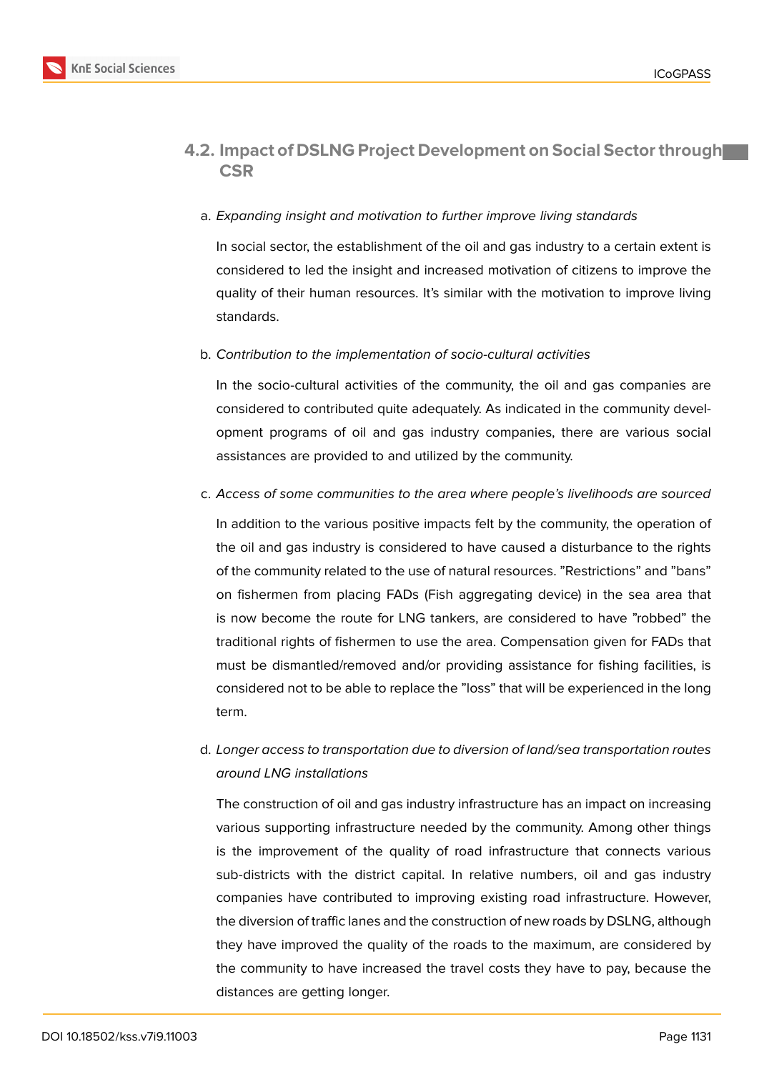

### **4.2. Impact of DSLNG Project Development on Social Sector through CSR**

### a. *Expanding insight and motivation to further improve living standards*

In social sector, the establishment of the oil and gas industry to a certain extent is considered to led the insight and increased motivation of citizens to improve the quality of their human resources. It's similar with the motivation to improve living standards.

#### b. *Contribution to the implementation of socio-cultural activities*

In the socio-cultural activities of the community, the oil and gas companies are considered to contributed quite adequately. As indicated in the community development programs of oil and gas industry companies, there are various social assistances are provided to and utilized by the community.

#### c. *Access of some communities to the area where people's livelihoods are sourced*

In addition to the various positive impacts felt by the community, the operation of the oil and gas industry is considered to have caused a disturbance to the rights of the community related to the use of natural resources. "Restrictions" and "bans" on fishermen from placing FADs (Fish aggregating device) in the sea area that is now become the route for LNG tankers, are considered to have "robbed" the traditional rights of fishermen to use the area. Compensation given for FADs that must be dismantled/removed and/or providing assistance for fishing facilities, is considered not to be able to replace the "loss" that will be experienced in the long term.

# d. *Longer access to transportation due to diversion of land/sea transportation routes around LNG installations*

The construction of oil and gas industry infrastructure has an impact on increasing various supporting infrastructure needed by the community. Among other things is the improvement of the quality of road infrastructure that connects various sub-districts with the district capital. In relative numbers, oil and gas industry companies have contributed to improving existing road infrastructure. However, the diversion of traffic lanes and the construction of new roads by DSLNG, although they have improved the quality of the roads to the maximum, are considered by the community to have increased the travel costs they have to pay, because the distances are getting longer.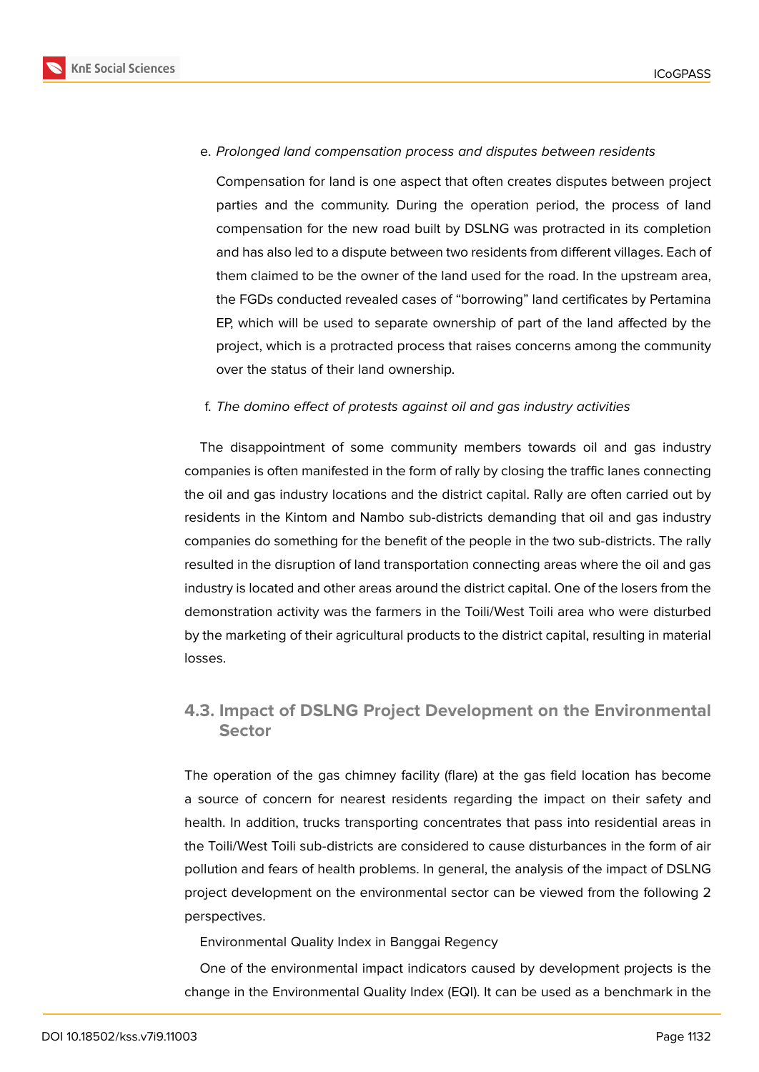

#### e. *Prolonged land compensation process and disputes between residents*

Compensation for land is one aspect that often creates disputes between project parties and the community. During the operation period, the process of land compensation for the new road built by DSLNG was protracted in its completion and has also led to a dispute between two residents from different villages. Each of them claimed to be the owner of the land used for the road. In the upstream area, the FGDs conducted revealed cases of "borrowing" land certificates by Pertamina EP, which will be used to separate ownership of part of the land affected by the project, which is a protracted process that raises concerns among the community over the status of their land ownership.

#### f. *The domino effect of protests against oil and gas industry activities*

The disappointment of some community members towards oil and gas industry companies is often manifested in the form of rally by closing the traffic lanes connecting the oil and gas industry locations and the district capital. Rally are often carried out by residents in the Kintom and Nambo sub-districts demanding that oil and gas industry companies do something for the benefit of the people in the two sub-districts. The rally resulted in the disruption of land transportation connecting areas where the oil and gas industry is located and other areas around the district capital. One of the losers from the demonstration activity was the farmers in the Toili/West Toili area who were disturbed by the marketing of their agricultural products to the district capital, resulting in material losses.

# **4.3. Impact of DSLNG Project Development on the Environmental Sector**

The operation of the gas chimney facility (flare) at the gas field location has become a source of concern for nearest residents regarding the impact on their safety and health. In addition, trucks transporting concentrates that pass into residential areas in the Toili/West Toili sub-districts are considered to cause disturbances in the form of air pollution and fears of health problems. In general, the analysis of the impact of DSLNG project development on the environmental sector can be viewed from the following 2 perspectives.

Environmental Quality Index in Banggai Regency

One of the environmental impact indicators caused by development projects is the change in the Environmental Quality Index (EQI). It can be used as a benchmark in the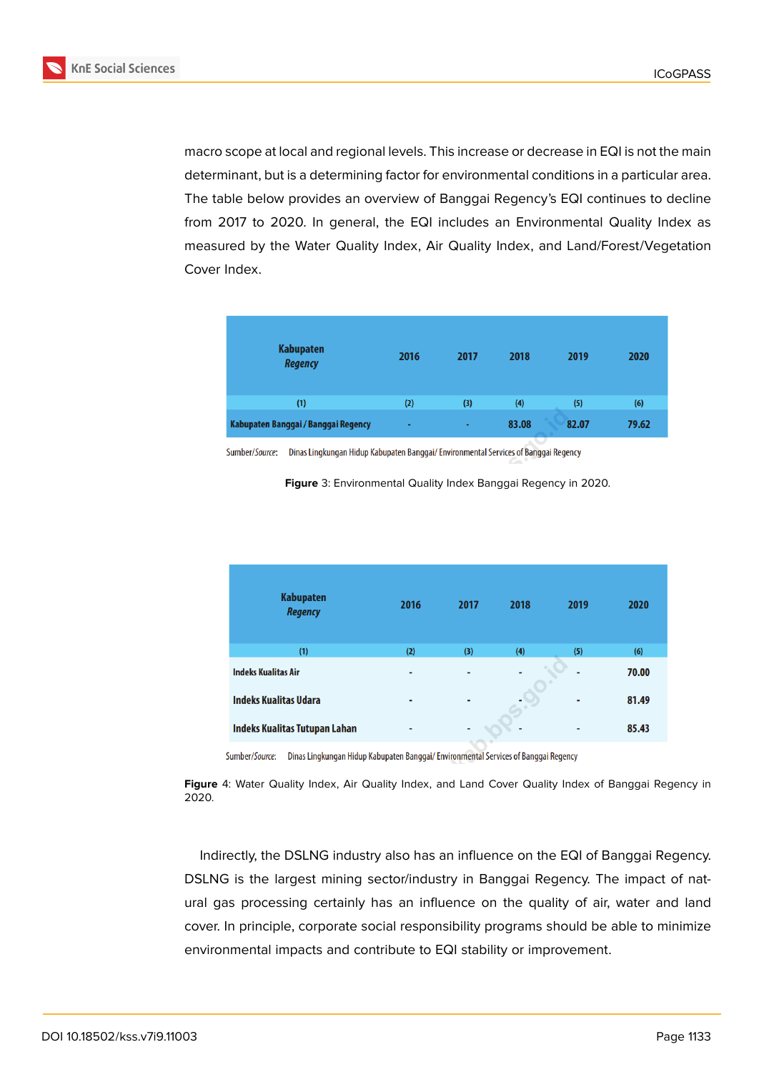

**KnE Social Sciences** 

macro scope at local and regional levels. This increase or decrease in EQI is not the main determinant, but is a determining factor for environmental conditions in a particular area. The table below provides an overview of Banggai Regency's EQI continues to decline from 2017 to 2020. In general, the EQI includes an Environmental Quality Index as measured by the Water Quality Index, Air Quality Index, and Land/Forest/Vegetation Cover Index.

| <b>Kabupaten</b><br><b>Regency</b>  | 2016 | 2017   | 2018  | 2019  | 2020  |
|-------------------------------------|------|--------|-------|-------|-------|
| (1)                                 | (2)  | (3)    | (4)   | (5)   | (6)   |
| Kabupaten Banggai / Banggai Regency | ٠    | $\sim$ | 83.08 | 82.07 | 79.62 |

Sumber/Source: Dinas Lingkungan Hidup Kabupaten Banggai/Environmental Services of Banggai Regency

**Figure** 3: Environmental Quality Index Banggai Regency in 2020.

| <b>Kabupaten</b><br><b>Regency</b> | 2016 | 2017 | 2018 | 2019 | 2020  |
|------------------------------------|------|------|------|------|-------|
| (1)                                | (2)  | (3)  | (4)  | (5)  | (6)   |
| <b>Indeks Kualitas Air</b>         | ٠    | ۰    | ٠    | ۰    | 70.00 |
| <b>Indeks Kualitas Udara</b>       | ۰    | ۰    |      | ٠    | 81.49 |
| Indeks Kualitas Tutupan Lahan      | ۰    | ۰    | ۰    | ۰    | 85.43 |

Sumber/Source: Dinas Lingkungan Hidup Kabupaten Banggai/Environmental Services of Banggai Regency

**Figure** 4: Water Quality Index, Air Quality Index, and Land Cover Quality Index of Banggai Regency in 2020.

Indirectly, the DSLNG industry also has an influence on the EQI of Banggai Regency. DSLNG is the largest mining sector/industry in Banggai Regency. The impact of natural gas processing certainly has an influence on the quality of air, water and land cover. In principle, corporate social responsibility programs should be able to minimize environmental impacts and contribute to EQI stability or improvement.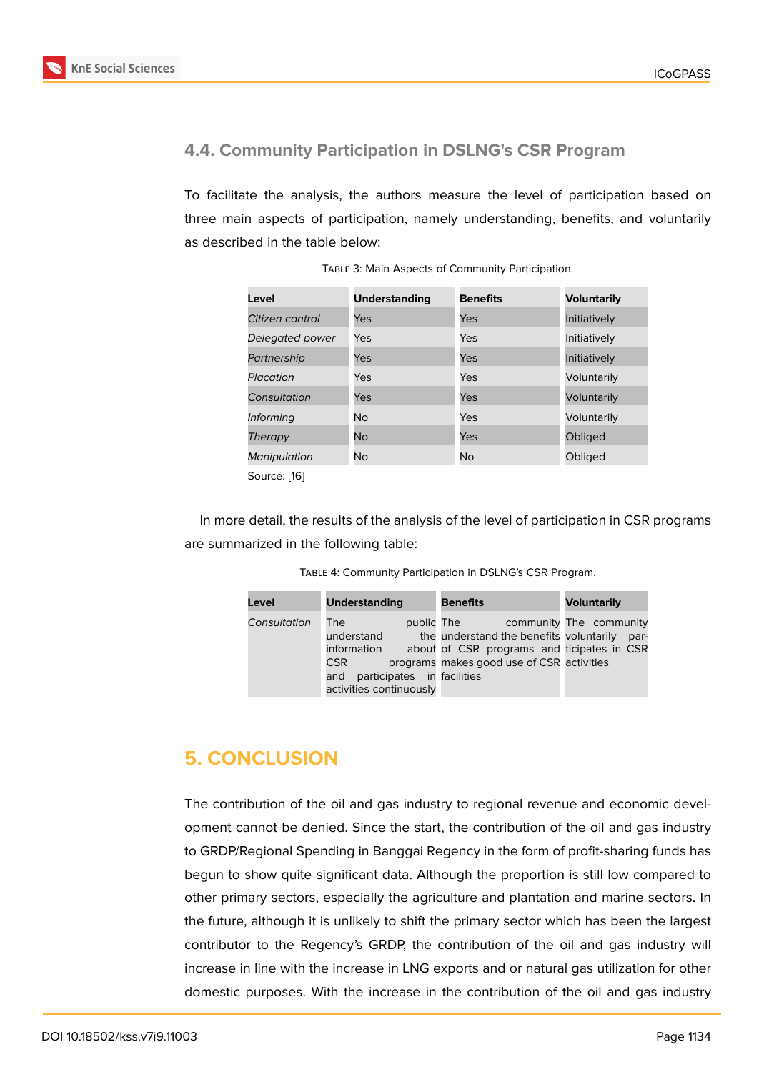## **4.4. Community Participation in DSLNG's CSR Program**

To facilitate the analysis, the authors measure the level of participation based on three main aspects of participation, namely understanding, benefits, and voluntarily as described in the table below:

| Level               | <b>Understanding</b> | <b>Benefits</b> | <b>Voluntarily</b> |
|---------------------|----------------------|-----------------|--------------------|
| Citizen control     | Yes                  | Yes             | Initiatively       |
| Delegated power     | <b>Yes</b>           | Yes             | Initiatively       |
| Partnership         | Yes                  | Yes             | Initiatively       |
| Placation           | Yes                  | Yes             | Voluntarily        |
| Consultation        | Yes                  | Yes             | Voluntarily        |
| <i>Informing</i>    | N <sub>o</sub>       | Yes             | Voluntarily        |
| Therapy             | <b>No</b>            | Yes             | Obliged            |
| <b>Manipulation</b> | No.                  | No              | Obliged            |
| Source: [16]        |                      |                 |                    |

TABLE 3: Main Aspects of Community Participation.

In more detail, the results of the analysis of the level of participation in CSR programs are summarized i[n t](#page-12-8)he following table:

| TABLE 4: Community Participation in DSLNG's CSR Program. |  |  |  |
|----------------------------------------------------------|--|--|--|
|----------------------------------------------------------|--|--|--|

| Level        | <b>Understanding</b>                                                                                           | <b>Benefits</b>                                                                                                                                  | <b>Voluntarily</b>              |
|--------------|----------------------------------------------------------------------------------------------------------------|--------------------------------------------------------------------------------------------------------------------------------------------------|---------------------------------|
| Consultation | The<br>understand<br>information<br><b>CSR</b><br>participates in facilities<br>and<br>activities continuously | public The<br>the understand the benefits voluntarily<br>about of CSR programs and ticipates in CSR<br>programs makes good use of CSR activities | community The community<br>par- |

# **5. CONCLUSION**

The contribution of the oil and gas industry to regional revenue and economic development cannot be denied. Since the start, the contribution of the oil and gas industry to GRDP/Regional Spending in Banggai Regency in the form of profit-sharing funds has begun to show quite significant data. Although the proportion is still low compared to other primary sectors, especially the agriculture and plantation and marine sectors. In the future, although it is unlikely to shift the primary sector which has been the largest contributor to the Regency's GRDP, the contribution of the oil and gas industry will increase in line with the increase in LNG exports and or natural gas utilization for other domestic purposes. With the increase in the contribution of the oil and gas industry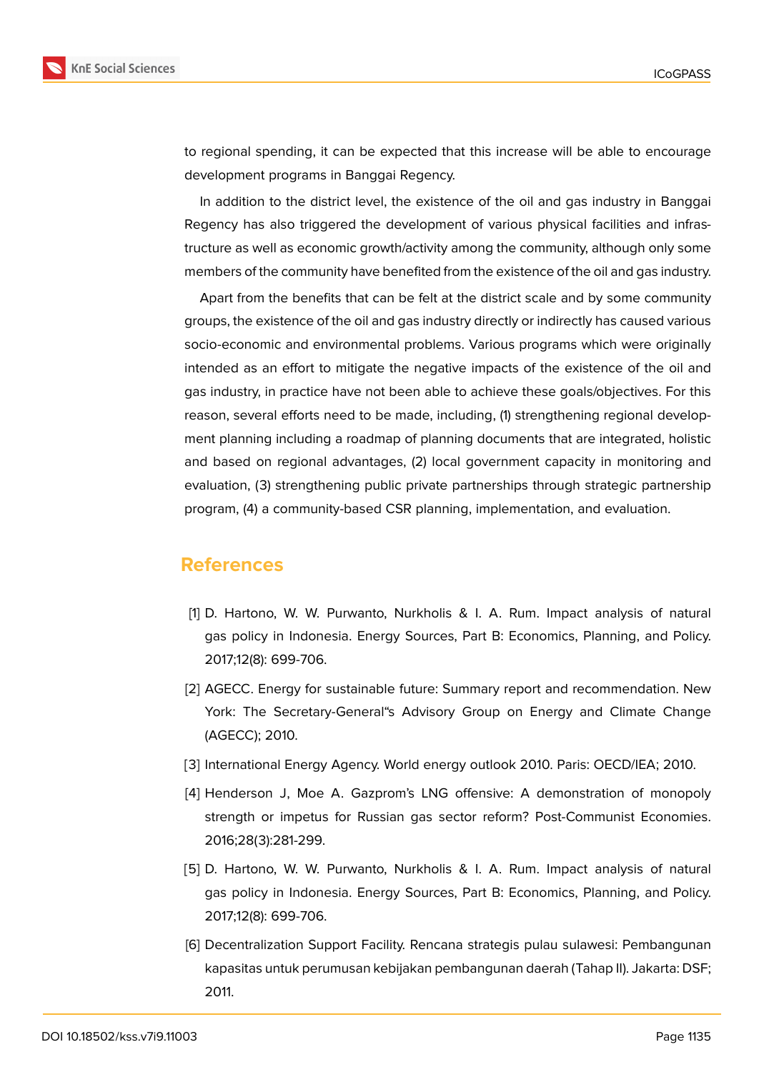

to regional spending, it can be expected that this increase will be able to encourage development programs in Banggai Regency.

In addition to the district level, the existence of the oil and gas industry in Banggai Regency has also triggered the development of various physical facilities and infrastructure as well as economic growth/activity among the community, although only some members of the community have benefited from the existence of the oil and gas industry.

Apart from the benefits that can be felt at the district scale and by some community groups, the existence of the oil and gas industry directly or indirectly has caused various socio-economic and environmental problems. Various programs which were originally intended as an effort to mitigate the negative impacts of the existence of the oil and gas industry, in practice have not been able to achieve these goals/objectives. For this reason, several efforts need to be made, including, (1) strengthening regional development planning including a roadmap of planning documents that are integrated, holistic and based on regional advantages, (2) local government capacity in monitoring and evaluation, (3) strengthening public private partnerships through strategic partnership program, (4) a community-based CSR planning, implementation, and evaluation.

# **References**

- <span id="page-11-0"></span>[1] D. Hartono, W. W. Purwanto, Nurkholis & I. A. Rum. Impact analysis of natural gas policy in Indonesia. Energy Sources, Part B: Economics, Planning, and Policy. 2017;12(8): 699-706.
- [2] AGECC. Energy for sustainable future: Summary report and recommendation. New York: The Secretary-General"s Advisory Group on Energy and Climate Change (AGECC); 2010.
- <span id="page-11-1"></span>[3] International Energy Agency. World energy outlook 2010. Paris: OECD/IEA; 2010.
- <span id="page-11-2"></span>[4] Henderson J, Moe A. Gazprom's LNG offensive: A demonstration of monopoly strength or impetus for Russian gas sector reform? Post-Communist Economies. 2016;28(3):281-299.
- <span id="page-11-3"></span>[5] D. Hartono, W. W. Purwanto, Nurkholis & I. A. Rum. Impact analysis of natural gas policy in Indonesia. Energy Sources, Part B: Economics, Planning, and Policy. 2017;12(8): 699-706.
- <span id="page-11-4"></span>[6] Decentralization Support Facility. Rencana strategis pulau sulawesi: Pembangunan kapasitas untuk perumusan kebijakan pembangunan daerah (Tahap II). Jakarta: DSF; 2011.